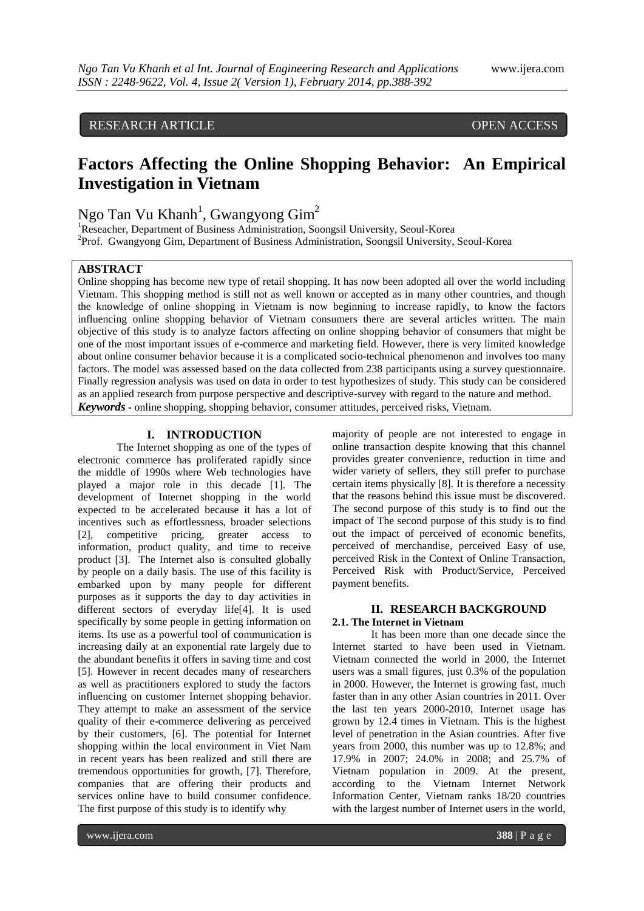# RESEARCH ARTICLE OPEN ACCESS

# **Factors Affecting the Online Shopping Behavior: An Empirical Investigation in Vietnam**

Ngo Tan Vu Khanh<sup>1</sup>, Gwangyong Gim<sup>2</sup>

<sup>1</sup>Reseacher, Department of Business Administration, Soongsil University, Seoul-Korea <sup>2</sup>Prof. Gwangyong Gim, Department of Business Administration, Soongsil University, Seoul-Korea

## **ABSTRACT**

Online shopping has become new type of retail shopping. It has now been adopted all over the world including Vietnam. This shopping method is still not as well known or accepted as in many other countries, and though the knowledge of online shopping in Vietnam is now beginning to increase rapidly, to know the factors influencing online shopping behavior of Vietnam consumers there are several articles written. The main objective of this study is to analyze factors affecting on online shopping behavior of consumers that might be one of the most important issues of e-commerce and marketing field. However, there is very limited knowledge about online consumer behavior because it is a complicated socio-technical phenomenon and involves too many factors. The model was assessed based on the data collected from 238 participants using a survey questionnaire. Finally regression analysis was used on data in order to test hypothesizes of study. This study can be considered as an applied research from purpose perspective and descriptive-survey with regard to the nature and method. *Keywords* **-** online shopping, shopping behavior, consumer attitudes, perceived risks, Vietnam.

## **I. INTRODUCTION**

The Internet shopping as one of the types of electronic commerce has proliferated rapidly since the middle of 1990s where Web technologies have played a major role in this decade [1]. The development of Internet shopping in the world expected to be accelerated because it has a lot of incentives such as effortlessness, broader selections [2], competitive pricing, greater access to information, product quality, and time to receive product [3]. The Internet also is consulted globally by people on a daily basis. The use of this facility is embarked upon by many people for different purposes as it supports the day to day activities in different sectors of everyday life[4]. It is used specifically by some people in getting information on items. Its use as a powerful tool of communication is increasing daily at an exponential rate largely due to the abundant benefits it offers in saving time and cost [5]. However in recent decades many of researchers as well as practitioners explored to study the factors influencing on customer Internet shopping behavior. They attempt to make an assessment of the service quality of their e-commerce delivering as perceived by their customers, [6]. The potential for Internet shopping within the local environment in Viet Nam in recent years has been realized and still there are tremendous opportunities for growth, [7]. Therefore, companies that are offering their products and services online have to build consumer confidence. The first purpose of this study is to identify why

majority of people are not interested to engage in online transaction despite knowing that this channel provides greater convenience, reduction in time and wider variety of sellers, they still prefer to purchase certain items physically [8]. It is therefore a necessity that the reasons behind this issue must be discovered. The second purpose of this study is to find out the impact of The second purpose of this study is to find out the impact of perceived of economic benefits, perceived of merchandise, perceived Easy of use, perceived Risk in the Context of Online Transaction, Perceived Risk with Product/Service, Perceived payment benefits.

## **II. RESEARCH BACKGROUND 2.1. The Internet in Vietnam**

It has been more than one decade since the Internet started to have been used in Vietnam. Vietnam connected the world in 2000, the Internet users was a small figures, just 0.3% of the population in 2000. However, the Internet is growing fast, much faster than in any other Asian countries in 2011. Over the last ten years 2000-2010, Internet usage has grown by 12.4 times in Vietnam. This is the highest level of penetration in the Asian countries. After five years from 2000, this number was up to 12.8%; and 17.9% in 2007; 24.0% in 2008; and 25.7% of Vietnam population in 2009. At the present, according to the Vietnam Internet Network Information Center, Vietnam ranks 18/20 countries with the largest number of Internet users in the world,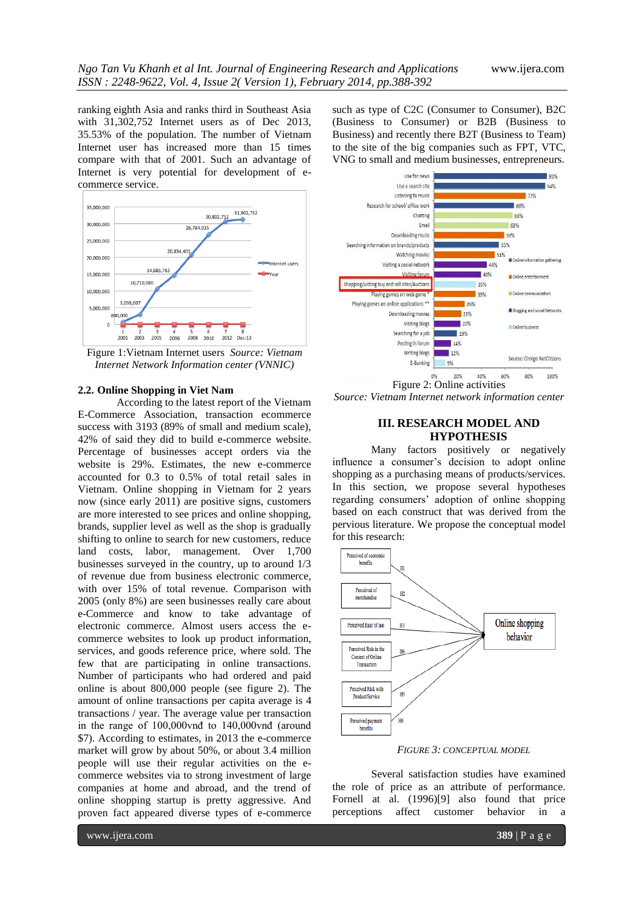ranking eighth Asia and ranks third in Southeast Asia with 31,302,752 Internet users as of Dec 2013, 35.53% of the population. The number of Vietnam Internet user has increased more than 15 times compare with that of 2001. Such an advantage of Internet is very potential for development of ecommerce service.



Figure 1:Vietnam Internet users *Source: Vietnam Internet Network Information center (VNNIC)*

#### **2.2. Online Shopping in Viet Nam**

According to the latest report of the Vietnam E-Commerce Association, transaction ecommerce success with 3193 (89% of small and medium scale), 42% of said they did to build e-commerce website. Percentage of businesses accept orders via the website is 29%. Estimates, the new e-commerce accounted for 0.3 to 0.5% of total retail sales in Vietnam. Online shopping in Vietnam for 2 years now (since early 2011) are positive signs, customers are more interested to see prices and online shopping, brands, supplier level as well as the shop is gradually shifting to online to search for new customers, reduce land costs, labor, management. Over 1,700 businesses surveyed in the country, up to around 1/3 of revenue due from business electronic commerce, with over 15% of total revenue. Comparison with 2005 (only 8%) are seen businesses really care about e-Commerce and know to take advantage of electronic commerce. Almost users access the ecommerce websites to look up product information, services, and goods reference price, where sold. The few that are participating in online transactions. Number of participants who had ordered and paid online is about 800,000 people (see figure 2). The amount of online transactions per capita average is 4 transactions / year. The average value per transaction in the range of 100,000vnđ to 140,000vnđ (around \$7). According to estimates, in 2013 the e-commerce market will grow by about 50%, or about 3.4 million people will use their regular activities on the ecommerce websites via to strong investment of large companies at home and abroad, and the trend of online shopping startup is pretty aggressive. And proven fact appeared diverse types of e-commerce

such as type of C2C (Consumer to Consumer), B2C (Business to Consumer) or B2B (Business to Business) and recently there B2T (Business to Team) to the site of the big companies such as FPT, VTC, VNG to small and medium businesses, entrepreneurs.



*Source: Vietnam Internet network information center* 

## **III. RESEARCH MODEL AND HYPOTHESIS**

Many factors positively or negatively influence a consumer"s decision to adopt online shopping as a purchasing means of products/services. In this section, we propose several hypotheses regarding consumers" adoption of online shopping based on each construct that was derived from the pervious literature. We propose the conceptual model for this research:



*FIGURE 3: CONCEPTUAL MODEL*

Several satisfaction studies have examined the role of price as an attribute of performance. Fornell at al. (1996)[9] also found that price perceptions affect customer behavior in a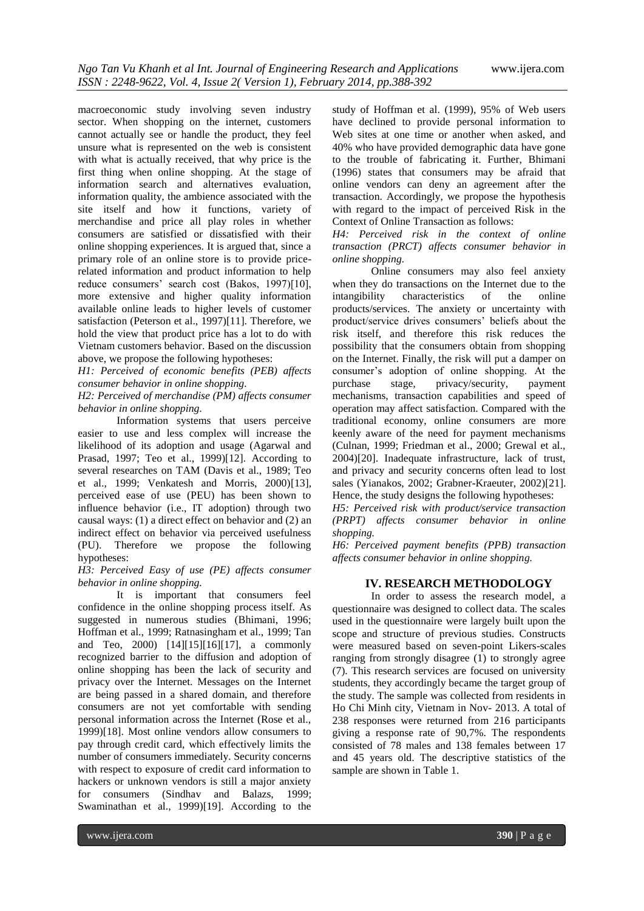macroeconomic study involving seven industry sector. When shopping on the internet, customers cannot actually see or handle the product, they feel unsure what is represented on the web is consistent with what is actually received, that why price is the first thing when online shopping. At the stage of information search and alternatives evaluation, information quality, the ambience associated with the site itself and how it functions, variety of merchandise and price all play roles in whether consumers are satisfied or dissatisfied with their online shopping experiences. It is argued that, since a primary role of an online store is to provide pricerelated information and product information to help reduce consumers' search cost (Bakos, 1997)[10], more extensive and higher quality information available online leads to higher levels of customer satisfaction (Peterson et al., 1997)[11]. Therefore, we hold the view that product price has a lot to do with Vietnam customers behavior. Based on the discussion above, we propose the following hypotheses:

*H1: Perceived of economic benefits (PEB) affects consumer behavior in online shopping.*

*H2: Perceived of merchandise (PM) affects consumer behavior in online shopping.*

Information systems that users perceive easier to use and less complex will increase the likelihood of its adoption and usage (Agarwal and Prasad, 1997; Teo et al., 1999)[12]. According to several researches on TAM (Davis et al., 1989; Teo et al., 1999; Venkatesh and Morris, 2000)[13], perceived ease of use (PEU) has been shown to influence behavior (i.e., IT adoption) through two causal ways: (1) a direct effect on behavior and (2) an indirect effect on behavior via perceived usefulness (PU). Therefore we propose the following hypotheses:

## *H3: Perceived Easy of use (PE) affects consumer behavior in online shopping.*

It is important that consumers feel confidence in the online shopping process itself. As suggested in numerous studies (Bhimani, 1996; Hoffman et al., 1999; Ratnasingham et al., 1999; Tan and Teo, 2000) [14][15][16][17], a commonly recognized barrier to the diffusion and adoption of online shopping has been the lack of security and privacy over the Internet. Messages on the Internet are being passed in a shared domain, and therefore consumers are not yet comfortable with sending personal information across the Internet (Rose et al., 1999)[18]. Most online vendors allow consumers to pay through credit card, which effectively limits the number of consumers immediately. Security concerns with respect to exposure of credit card information to hackers or unknown vendors is still a major anxiety for consumers (Sindhav and Balazs, 1999; Swaminathan et al., 1999)[19]. According to the

study of Hoffman et al. (1999), 95% of Web users have declined to provide personal information to Web sites at one time or another when asked, and 40% who have provided demographic data have gone to the trouble of fabricating it. Further, Bhimani (1996) states that consumers may be afraid that online vendors can deny an agreement after the transaction. Accordingly, we propose the hypothesis with regard to the impact of perceived Risk in the Context of Online Transaction as follows:

*H4: Perceived risk in the context of online transaction (PRCT) affects consumer behavior in online shopping.*

Online consumers may also feel anxiety when they do transactions on the Internet due to the intangibility characteristics of the online products/services. The anxiety or uncertainty with product/service drives consumers" beliefs about the risk itself, and therefore this risk reduces the possibility that the consumers obtain from shopping on the Internet. Finally, the risk will put a damper on consumer's adoption of online shopping. At the purchase stage, privacy/security, payment privacy/security, mechanisms, transaction capabilities and speed of operation may affect satisfaction. Compared with the traditional economy, online consumers are more keenly aware of the need for payment mechanisms (Culnan, 1999; Friedman et al., 2000; Grewal et al., 2004)[20]. Inadequate infrastructure, lack of trust, and privacy and security concerns often lead to lost sales (Yianakos, 2002; Grabner-Kraeuter, 2002)[21]. Hence, the study designs the following hypotheses:

*H5: Perceived risk with product/service transaction (PRPT) affects consumer behavior in online shopping.*

*H6: Perceived payment benefits (PPB) transaction affects consumer behavior in online shopping.*

## **IV. RESEARCH METHODOLOGY**

In order to assess the research model, a questionnaire was designed to collect data. The scales used in the questionnaire were largely built upon the scope and structure of previous studies. Constructs were measured based on seven-point Likers-scales ranging from strongly disagree (1) to strongly agree (7). This research services are focused on university students, they accordingly became the target group of the study. The sample was collected from residents in Ho Chi Minh city, Vietnam in Nov- 2013. A total of 238 responses were returned from 216 participants giving a response rate of 90,7%. The respondents consisted of 78 males and 138 females between 17 and 45 years old. The descriptive statistics of the sample are shown in Table 1.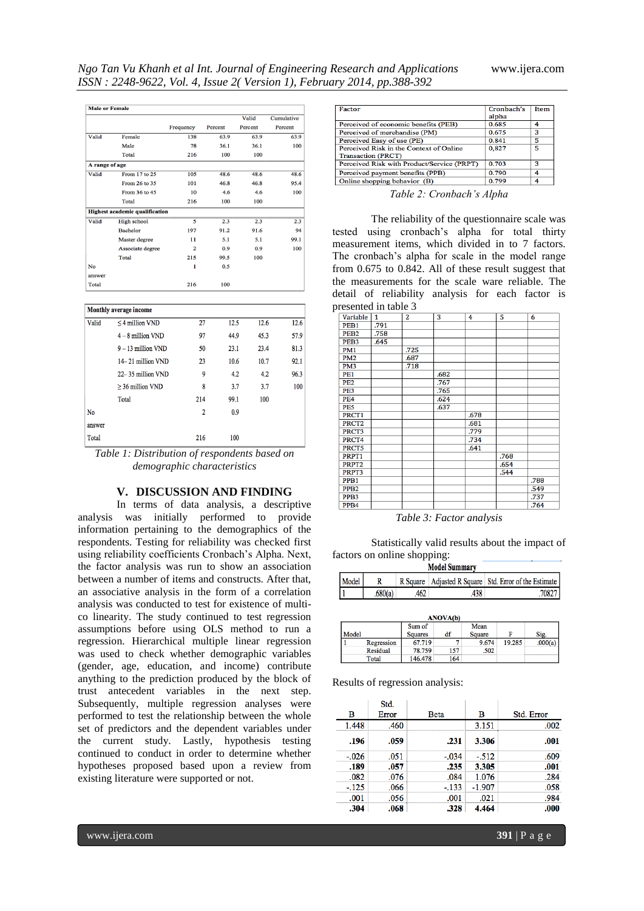|                |                                       |                |         | Valid   | Cumulative |
|----------------|---------------------------------------|----------------|---------|---------|------------|
|                |                                       | Frequency      | Percent | Percent | Percent    |
| Valid          | Female                                | 138            | 63.9    | 63.9    | 63.9       |
|                | Male                                  | 78             | 36.1    | 36.1    | 100        |
|                | Total                                 | 216            | 100     | 100     |            |
| A range of age |                                       |                |         |         |            |
| Valid          | From 17 to 25                         | 105            | 48.6    | 48.6    | 48.6       |
|                | From 26 to 35                         | 101            | 46.8    | 46.8    | 95.4       |
|                | From 36 to 45                         | 10             | 4.6     | 4.6     | 100        |
|                | Total                                 | 216            | 100     | 100     |            |
|                | <b>Highest academic qualification</b> |                |         |         |            |
| Valid          | <b>High school</b>                    | 5              | 2.3     | 2.3     | 2.3        |
|                | <b>Bachelor</b>                       | 197            | 91.2    | 91.6    | 94         |
|                | Master degree                         | 11             | 5.1     | 5.1     | 99.1       |
|                | Associate degree                      | $\overline{2}$ | 0.9     | 0.9     | 100        |
|                | Total                                 | 215            | 99.5    | 100     |            |
| No             |                                       | 1              | 0.5     |         |            |
| answer         |                                       |                |         |         |            |
| Total          |                                       | 216            | 100     |         |            |

| Monthly average income |                       |                |      |      |      |  |  |
|------------------------|-----------------------|----------------|------|------|------|--|--|
| Valid                  | $<$ 4 million VND     | 27             | 12.5 | 12.6 | 12.6 |  |  |
|                        | $4 - 8$ million VND   | 97             | 44.9 | 45.3 | 57.9 |  |  |
|                        | $9 - 13$ million VND  | 50             | 23.1 | 23.4 | 81.3 |  |  |
|                        | 14–21 million VND     | 23             | 10.6 | 10.7 | 92.1 |  |  |
|                        | $22 - 35$ million VND | 9              | 4.2  | 4.2  | 96.3 |  |  |
|                        | $>$ 36 million VND    | 8              | 3.7  | 3.7  | 100  |  |  |
|                        | Total                 | 214            | 99.1 | 100  |      |  |  |
| No                     |                       | $\overline{2}$ | 0.9  |      |      |  |  |
| answer                 |                       |                |      |      |      |  |  |
| Total                  |                       | 216            | 100  |      |      |  |  |

*Table 1: Distribution of respondents based on demographic characteristics*

## **V. DISCUSSION AND FINDING**

In terms of data analysis, a descriptive analysis was initially performed to provide information pertaining to the demographics of the respondents. Testing for reliability was checked first using reliability coefficients Cronbach"s Alpha. Next, the factor analysis was run to show an association between a number of items and constructs. After that, an associative analysis in the form of a correlation analysis was conducted to test for existence of multico linearity. The study continued to test regression assumptions before using OLS method to run a regression. Hierarchical multiple linear regression was used to check whether demographic variables (gender, age, education, and income) contribute anything to the prediction produced by the block of trust antecedent variables in the next step. Subsequently, multiple regression analyses were performed to test the relationship between the whole set of predictors and the dependent variables under the current study. Lastly, hypothesis testing continued to conduct in order to determine whether hypotheses proposed based upon a review from existing literature were supported or not.

| Factor                                     | Cronbach's | Item |
|--------------------------------------------|------------|------|
|                                            | alpha      |      |
| Perceived of economic benefits (PEB)       | 0.685      | 4    |
| Perceived of merchandise (PM)              | 0.675      | з    |
| Perceived Easy of use (PE)                 | 0.841      | 5    |
| Perceived Risk in the Context of Online    | 0,827      | 5    |
| <b>Transaction (PRCT)</b>                  |            |      |
| Perceived Risk with Product/Service (PRPT) | 0.703      | з    |
| Perceived payment benefits (PPB)           | 0.790      | 4    |
| Online shopping behavior (B)               | 0.799      | 4    |
|                                            |            |      |

*Table 2: Cronbach's Alpha* 

The reliability of the questionnaire scale was tested using cronbach"s alpha for total thirty measurement items, which divided in to 7 factors. The cronbach"s alpha for scale in the model range from 0.675 to 0.842. All of these result suggest that the measurements for the scale ware reliable. The detail of reliability analysis for each factor is presented in table 3

| Variable          | 1    | 2    | 3    | 4    | 5    | 6    |
|-------------------|------|------|------|------|------|------|
| PEB1              | .791 |      |      |      |      |      |
| PEB <sub>2</sub>  | .758 |      |      |      |      |      |
| PEB <sub>3</sub>  | .645 |      |      |      |      |      |
| PM1               |      | .725 |      |      |      |      |
| PM <sub>2</sub>   |      | .687 |      |      |      |      |
| PM3               |      | .718 |      |      |      |      |
| PE1               |      |      | .682 |      |      |      |
| PE <sub>2</sub>   |      |      | .767 |      |      |      |
| PE3               |      |      | .765 |      |      |      |
| PE4               |      |      | .624 |      |      |      |
| PE5               |      |      | .637 |      |      |      |
| PRCT1             |      |      |      | .678 |      |      |
| PRCT <sub>2</sub> |      |      |      | .681 |      |      |
| PRCT3             |      |      |      | .779 |      |      |
| PRCT4             |      |      |      | .734 |      |      |
| PRCT5             |      |      |      | .641 |      |      |
| PRPT1             |      |      |      |      | .768 |      |
| PRPT <sub>2</sub> |      |      |      |      | .654 |      |
| PRPT3             |      |      |      |      | .544 |      |
| PPB <sub>1</sub>  |      |      |      |      |      | .788 |
| PPB <sub>2</sub>  |      |      |      |      |      | .549 |
| PPB <sub>3</sub>  |      |      |      |      |      | .737 |
| PPB4              |      |      |      |      |      | .764 |

*Table 3: Factor analysis* 

Statistically valid results about the impact of factors on online shopping:

| мюцег эншшаг у |         |  |     |                                                           |  |  |  |
|----------------|---------|--|-----|-----------------------------------------------------------|--|--|--|
| Model          |         |  |     | R Square   Adjusted R Square   Std. Error of the Estimate |  |  |  |
|                | .680(a) |  | 438 | 70827                                                     |  |  |  |

| <b>ANOVA(b)</b> |            |                |     |        |        |         |  |
|-----------------|------------|----------------|-----|--------|--------|---------|--|
|                 |            | Sum of         |     | Mean   |        |         |  |
| Model           |            | <b>Squares</b> | df  | Square |        | Sig.    |  |
|                 | Regression | 67.719         |     | 9.674  | 19.285 | .000(a) |  |
|                 | Residual   | 78.759         | 157 | .502   |        |         |  |
|                 | Total      | 146.478        | 164 |        |        |         |  |

Results of regression analysis:

|         | Std.  |         |          |            |
|---------|-------|---------|----------|------------|
| в       | Error | Beta    | в        | Std. Error |
| 1.448   | .460  |         | 3.151    | .002       |
| .196    | .059  | .231    | 3.306    | .001       |
| $-.026$ | .051  | $-.034$ | $-512$   | .609       |
| .189    | .057  | .235    | 3.305    | .001       |
| .082    | .076  | .084    | 1.076    | .284       |
| $-125$  | .066  | $-133$  | $-1.907$ | .058       |
| .001    | .056  | .001    | .021     | .984       |
| .304    | .068  | .328    | 4.464    | .000       |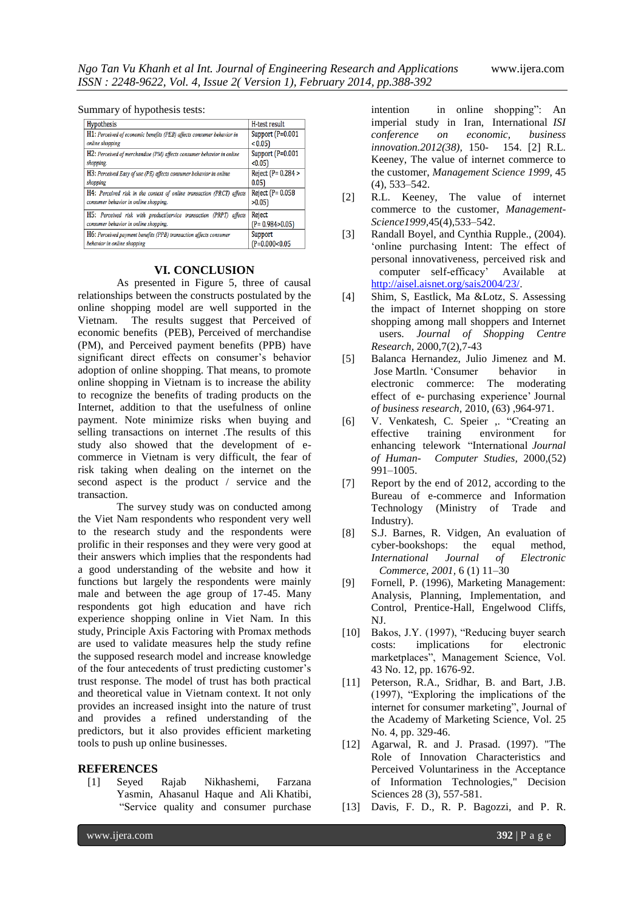Summary of hypothesis tests:

| Hypothesis                                                             | H-test result        |
|------------------------------------------------------------------------|----------------------|
| H1: Perceived of economic benefits (PEB) affects consumer behavior in  | Support $(P=0.001)$  |
| online shopping                                                        | < 0.051              |
| H2: Perceived of merchandise (PM) affects consumer behavior in online  | Support (P=0.001     |
| shopping.                                                              | < 0.05               |
| H3: Perceived Easy of use (PE) affects consumer behavior in online     | Reject (P= 0.284 >   |
| shopping                                                               | 0.05                 |
| H4: Perceived risk in the context of online transaction (PRCT) affects | Reject (P= 0.058     |
| consumer behavior in online shopping.                                  | >0.05                |
| H5: Perceived risk with product/service transaction (PRPT)<br>affects  | Reject               |
| consumer behavior in online shopping.                                  | $(P = 0.984 > 0.05)$ |
| H6: Perceived payment benefits (PPB) transaction affects consumer      | Support              |
| behavior in online shopping                                            | $(P=0.000<0.05)$     |

#### **VI. CONCLUSION**

As presented in Figure 5, three of causal relationships between the constructs postulated by the online shopping model are well supported in the Vietnam. The results suggest that Perceived of economic benefits (PEB), Perceived of merchandise (PM), and Perceived payment benefits (PPB) have significant direct effects on consumer's behavior adoption of online shopping. That means, to promote online shopping in Vietnam is to increase the ability to recognize the benefits of trading products on the Internet, addition to that the usefulness of online payment. Note minimize risks when buying and selling transactions on internet .The results of this study also showed that the development of ecommerce in Vietnam is very difficult, the fear of risk taking when dealing on the internet on the second aspect is the product / service and the transaction.

The survey study was on conducted among the Viet Nam respondents who respondent very well to the research study and the respondents were prolific in their responses and they were very good at their answers which implies that the respondents had a good understanding of the website and how it functions but largely the respondents were mainly male and between the age group of 17-45. Many respondents got high education and have rich experience shopping online in Viet Nam. In this study, Principle Axis Factoring with Promax methods are used to validate measures help the study refine the supposed research model and increase knowledge of the four antecedents of trust predicting customer"s trust response. The model of trust has both practical and theoretical value in Vietnam context. It not only provides an increased insight into the nature of trust and provides a refined understanding of the predictors, but it also provides efficient marketing tools to push up online businesses.

## **REFERENCES**

[1] Seyed Rajab Nikhashemi, Farzana Yasmin, Ahasanul Haque and Ali Khatibi, "Service quality and consumer purchase

intention in online shopping": An imperial study in Iran, International *ISI conference on economic, business innovation.2012(38),* 150- 154. [2] R.L. Keeney, The value of internet commerce to the customer, *Management Science 1999,* 45 (4), 533–542.

- [2] R.L. Keeney, The value of internet commerce to the customer, *Management-Science1999,*45(4),533–542.
- [3] Randall Boyel, and Cynthia Rupple.,  $(2004)$ . "online purchasing Intent: The effect of personal innovativeness, perceived risk and computer self-efficacy" Available at [http://aisel.aisnet.org/sais2004/23/.](http://aisel.aisnet.org/sais2004/23/)
- [4] Shim, S, Eastlick, Ma &Lotz, S. Assessing the impact of Internet shopping on store shopping among mall shoppers and Internet users. *Journal of Shopping Centre Research,* 2000,7(2),7-43
- [5] Balanca Hernandez, Julio Jimenez and M. Jose Martln. "Consumer behavior in electronic commerce: The moderating effect of e- purchasing experience' Journal *of business research,* 2010, (63) ,964-971.
- [6] V. Venkatesh, C. Speier ,. "Creating an effective training environment for enhancing telework "International *Journal of Human- Computer Studies,* 2000,(52) 991–1005.
- [7] Report by the end of 2012, according to the Bureau of e-commerce and Information<br>Technology (Ministry of Trade and (Ministry of Trade and Industry).
- [8] S.J. Barnes, R. Vidgen, An evaluation of cyber-bookshops: the equal method, *International Journal of Electronic Commerce, 2001,* 6 (1) 11–30
- [9] Fornell, P. (1996), Marketing Management: Analysis, Planning, Implementation, and Control, Prentice-Hall, Engelwood Cliffs, NJ.
- [10] Bakos, J.Y. (1997), "Reducing buyer search costs: implications for electronic marketplaces", Management Science, Vol. 43 No. 12, pp. 1676-92.
- [11] Peterson, R.A., Sridhar, B. and Bart, J.B. (1997), "Exploring the implications of the internet for consumer marketing", Journal of the Academy of Marketing Science, Vol. 25 No. 4, pp. 329-46.
- [12] Agarwal, R. and J. Prasad. (1997). "The Role of Innovation Characteristics and Perceived Voluntariness in the Acceptance of Information Technologies," Decision Sciences 28 (3), 557-581.
- [13] Davis, F. D., R. P. Bagozzi, and P. R.